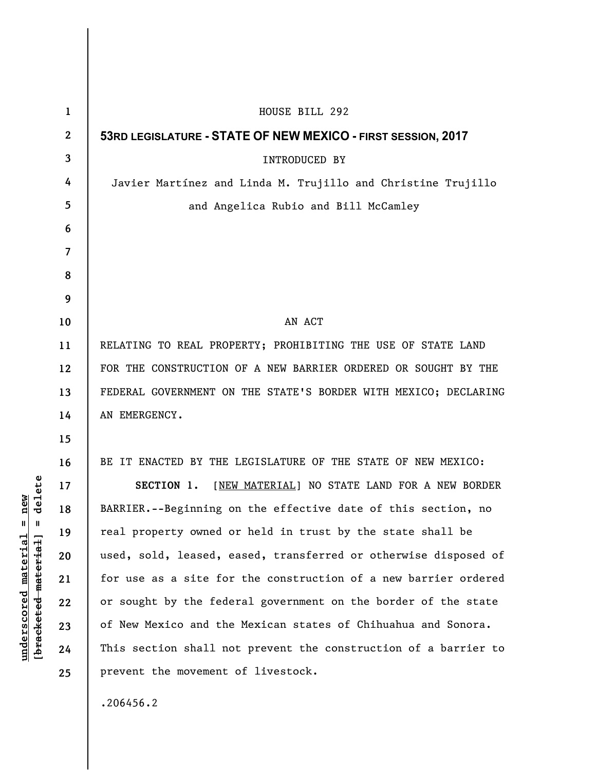| $\mathbf{1}$     | HOUSE BILL 292                                                  |
|------------------|-----------------------------------------------------------------|
| $\boldsymbol{2}$ | 53RD LEGISLATURE - STATE OF NEW MEXICO - FIRST SESSION, 2017    |
| 3                | <b>INTRODUCED BY</b>                                            |
| 4                | Javier Martínez and Linda M. Trujillo and Christine Trujillo    |
| 5                | and Angelica Rubio and Bill McCamley                            |
| 6                |                                                                 |
| $\overline{7}$   |                                                                 |
| 8                |                                                                 |
| 9                |                                                                 |
| 10               | AN ACT                                                          |
| 11               | RELATING TO REAL PROPERTY; PROHIBITING THE USE OF STATE LAND    |
| 12               | FOR THE CONSTRUCTION OF A NEW BARRIER ORDERED OR SOUGHT BY THE  |
| 13               | FEDERAL GOVERNMENT ON THE STATE'S BORDER WITH MEXICO; DECLARING |
| 14               | AN EMERGENCY.                                                   |
| 15               |                                                                 |
| 16               | BE IT ENACTED BY THE LEGISLATURE OF THE STATE OF NEW MEXICO:    |
| 17               | [NEW MATERIAL] NO STATE LAND FOR A NEW BORDER<br>SECTION 1.     |
| 18               | BARRIER.--Beginning on the effective date of this section, no   |
| 19               | real property owned or held in trust by the state shall be      |
| 20               | used, sold, leased, eased, transferred or otherwise disposed of |
| 21               | for use as a site for the construction of a new barrier ordered |
| 22               | or sought by the federal government on the border of the state  |
| 23               | of New Mexico and the Mexican states of Chihuahua and Sonora.   |
| 24               | This section shall not prevent the construction of a barrier to |
| 25               | prevent the movement of livestock.                              |
|                  | .206456.2                                                       |